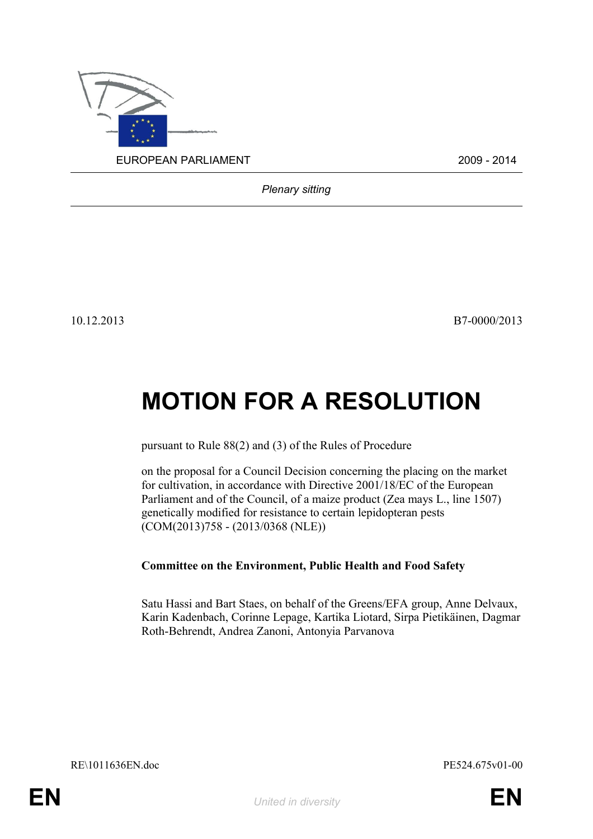

*Plenary sitting*

10.12.2013 B7-0000/2013

# **MOTION FOR A RESOLUTION**

pursuant to Rule 88(2) and (3) of the Rules of Procedure

on the proposal for a Council Decision concerning the placing on the market for cultivation, in accordance with Directive 2001/18/EC of the European Parliament and of the Council, of a maize product (Zea mays L., line 1507) genetically modified for resistance to certain lepidopteran pests (COM(2013)758 - (2013/0368 (NLE))

# **Committee on the Environment, Public Health and Food Safety**

<span id="page-0-0"></span>Satu Hassi and Bart Staes, on behalf of the Greens/EFA group, Anne Delvaux, Karin Kadenbach, Corinne Lepage, Kartika Liotard, Sirpa Pietikäinen, Dagmar Roth-Behrendt, Andrea Zanoni, Antonyia Parvanova

<span id="page-0-1"></span>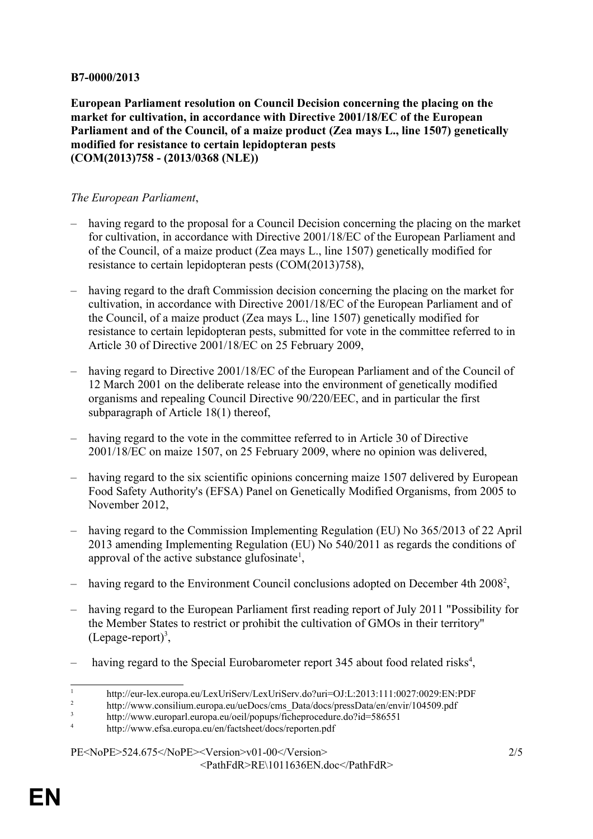### **B7-0000/2013**

**European Parliament resolution on Council Decision concerning the placing on the market for cultivation, in accordance with Directive 2001/18/EC of the European Parliament and of the Council, of a maize product (Zea mays L., line 1507) genetically modified for resistance to certain lepidopteran pests (COM(2013)758 - (2013/0368 (NLE))**

## *The European Parliament*,

- having regard to the proposal for a Council Decision concerning the placing on the market for cultivation, in accordance with Directive 2001/18/EC of the European Parliament and of the Council, of a maize product (Zea mays L., line 1507) genetically modified for resistance to certain lepidopteran pests (COM(2013)758),
- having regard to the draft Commission decision concerning the placing on the market for cultivation, in accordance with Directive 2001/18/EC of the European Parliament and of the Council, of a maize product (Zea mays L., line 1507) genetically modified for resistance to certain lepidopteran pests, submitted for vote in the committee referred to in Article 30 of Directive 2001/18/EC on 25 February 2009,
- having regard to Directive 2001/18/EC of the European Parliament and of the Council of 12 March 2001 on the deliberate release into the environment of genetically modified organisms and repealing Council Directive 90/220/EEC, and in particular the first subparagraph of Article 18(1) thereof,
- having regard to the vote in the committee referred to in Article 30 of Directive 2001/18/EC on maize 1507, on 25 February 2009, where no opinion was delivered,
- having regard to the six scientific opinions concerning maize 1507 delivered by European Food Safety Authority's (EFSA) Panel on Genetically Modified Organisms, from 2005 to November 2012,
- having regard to the Commission Implementing Regulation (EU) No 365/2013 of 22 April 2013 amending Implementing Regulation (EU) No 540/2011 as regards the conditions of approval of the active substance glufosinate<sup>[1](#page-1-0)</sup>,
- having regard to the Environment Council conclusions adopted on December 4th [2](#page-1-1)008<sup>2</sup>,
- having regard to the European Parliament first reading report of July 2011 "Possibility for the Member States to restrict or prohibit the cultivation of GMOs in their territory"  $(Lepage-report)^3$  $(Lepage-report)^3$ ,
- having regard to the Special Eurobarometer report 3[4](#page-1-3)5 about food related risks<sup>4</sup>,

#### [PE<NoPE>524.675</NoPE><Version>v01-00</Version>](#page-0-1) 2/5 [<PathFdR>RE\1011636EN.doc</PathFdR>](#page-0-0)

<span id="page-1-0"></span><sup>1</sup> http://eur-lex.europa.eu/LexUriServ/LexUriServ.do?uri=OJ:L:2013:111:0027:0029:EN:PDF

<span id="page-1-1"></span><sup>2</sup> http://www.consilium.europa.eu/ueDocs/cms\_Data/docs/pressData/en/envir/104509.pdf

<span id="page-1-2"></span><sup>3</sup> http://www.europarl.europa.eu/oeil/popups/ficheprocedure.do?id=586551

<span id="page-1-3"></span><sup>4</sup> http://www.efsa.europa.eu/en/factsheet/docs/reporten.pdf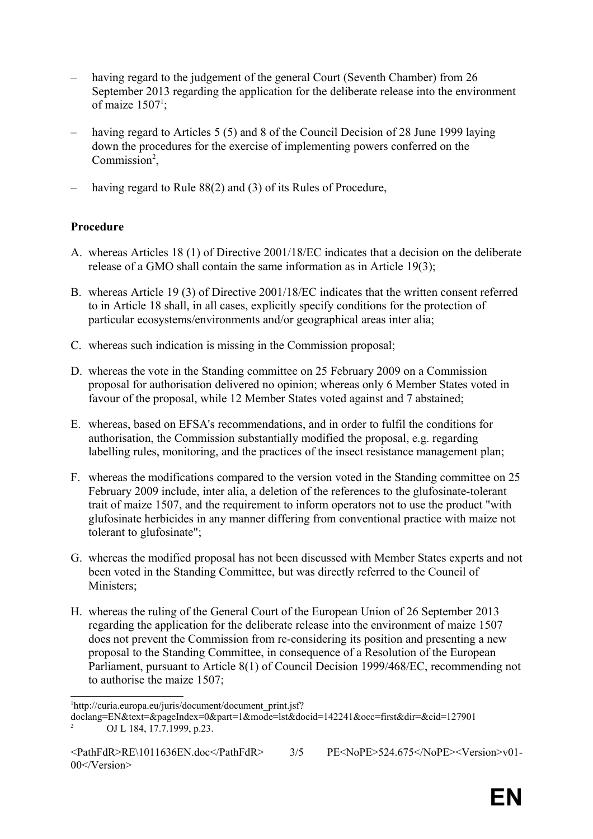- having regard to the judgement of the general Court (Seventh Chamber) from 26 September 2013 regarding the application for the deliberate release into the environment of maize  $1507^1$  $1507^1$ ;
- having regard to Articles 5 (5) and 8 of the Council Decision of 28 June 1999 laying down the procedures for the exercise of implementing powers conferred on the Commission<sup>[2](#page-2-1)</sup>,
- having regard to Rule 88(2) and (3) of its Rules of Procedure,

## **Procedure**

- A. whereas Articles 18 (1) of Directive 2001/18/EC indicates that a decision on the deliberate release of a GMO shall contain the same information as in Article 19(3);
- B. whereas Article 19 (3) of Directive 2001/18/EC indicates that the written consent referred to in Article 18 shall, in all cases, explicitly specify conditions for the protection of particular ecosystems/environments and/or geographical areas inter alia;
- C. whereas such indication is missing in the Commission proposal;
- D. whereas the vote in the Standing committee on 25 February 2009 on a Commission proposal for authorisation delivered no opinion; whereas only 6 Member States voted in favour of the proposal, while 12 Member States voted against and 7 abstained;
- E. whereas, based on EFSA's recommendations, and in order to fulfil the conditions for authorisation, the Commission substantially modified the proposal, e.g. regarding labelling rules, monitoring, and the practices of the insect resistance management plan;
- F. whereas the modifications compared to the version voted in the Standing committee on 25 February 2009 include, inter alia, a deletion of the references to the glufosinate-tolerant trait of maize 1507, and the requirement to inform operators not to use the product "with glufosinate herbicides in any manner differing from conventional practice with maize not tolerant to glufosinate";
- G. whereas the modified proposal has not been discussed with Member States experts and not been voted in the Standing Committee, but was directly referred to the Council of Ministers;
- H. whereas the ruling of the General Court of the European Union of 26 September 2013 regarding the application for the deliberate release into the environment of maize 1507 does not prevent the Commission from re-considering its position and presenting a new proposal to the Standing Committee, in consequence of a Resolution of the European Parliament, pursuant to Article 8(1) of Council Decision 1999/468/EC, recommending not to authorise the maize 1507;

<span id="page-2-0"></span><sup>&</sup>lt;sup>1</sup>http://curia.europa.eu/juris/document/document\_print.jsf?

<span id="page-2-1"></span>doclang=EN&text=&pageIndex=0&part=1&mode=lst&docid=142241&occ=first&dir=&cid=127901 <sup>2</sup> OJ L 184, 17.7.1999, p.23.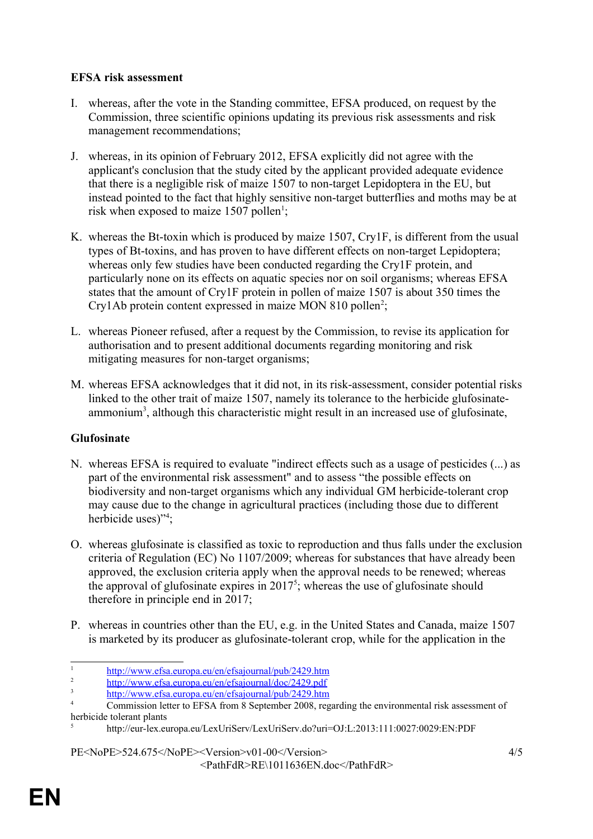## **EFSA risk assessment**

- I. whereas, after the vote in the Standing committee, EFSA produced, on request by the Commission, three scientific opinions updating its previous risk assessments and risk management recommendations;
- J. whereas, in its opinion of February 2012, EFSA explicitly did not agree with the applicant's conclusion that the study cited by the applicant provided adequate evidence that there is a negligible risk of maize 1507 to non-target Lepidoptera in the EU, but instead pointed to the fact that highly sensitive non-target butterflies and moths may be at risk when exposed to maize  $1507$  $1507$  pollen<sup>1</sup>;
- K. whereas the Bt-toxin which is produced by maize 1507, Cry1F, is different from the usual types of Bt-toxins, and has proven to have different effects on non-target Lepidoptera; whereas only few studies have been conducted regarding the Cry1F protein, and particularly none on its effects on aquatic species nor on soil organisms; whereas EFSA states that the amount of Cry1F protein in pollen of maize 1507 is about 350 times the Cry1Ab protein content expressed in maize MON 810 pollen<sup>[2](#page-3-1)</sup>;
- L. whereas Pioneer refused, after a request by the Commission, to revise its application for authorisation and to present additional documents regarding monitoring and risk mitigating measures for non-target organisms;
- M. whereas EFSA acknowledges that it did not, in its risk-assessment, consider potential risks linked to the other trait of maize 1507, namely its tolerance to the herbicide glufosinate-ammonium<sup>[3](#page-3-2)</sup>, although this characteristic might result in an increased use of glufosinate,

# **Glufosinate**

- N. whereas EFSA is required to evaluate "indirect effects such as a usage of pesticides (...) as part of the environmental risk assessment" and to assess "the possible effects on biodiversity and non-target organisms which any individual GM herbicide-tolerant crop may cause due to the change in agricultural practices (including those due to different herbicide uses)"<sup>[4](#page-3-3)</sup>;
- O. whereas glufosinate is classified as toxic to reproduction and thus falls under the exclusion criteria of Regulation (EC) No 1107/2009; whereas for substances that have already been approved, the exclusion criteria apply when the approval needs to be renewed; whereas the approval of glufosinate expires in  $2017<sup>5</sup>$  $2017<sup>5</sup>$  $2017<sup>5</sup>$ ; whereas the use of glufosinate should therefore in principle end in 2017;
- P. whereas in countries other than the EU, e.g. in the United States and Canada, maize 1507 is marketed by its producer as glufosinate-tolerant crop, while for the application in the

<span id="page-3-0"></span><sup>1</sup> <http://www.efsa.europa.eu/en/efsajournal/pub/2429.htm>

<span id="page-3-1"></span><sup>2</sup> <http://www.efsa.europa.eu/en/efsajournal/doc/2429.pdf>

<span id="page-3-2"></span><sup>3</sup> <http://www.efsa.europa.eu/en/efsajournal/pub/2429.htm>

<span id="page-3-3"></span><sup>&</sup>lt;sup>4</sup> Commission letter to EFSA from 8 September 2008, regarding the environmental risk assessment of herbicide tolerant plants 5

<span id="page-3-4"></span>http://eur-lex.europa.eu/LexUriServ/LexUriServ.do?uri=OJ:L:2013:111:0027:0029:EN:PDF